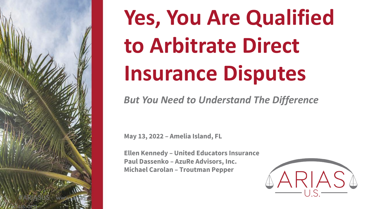

# **Yes, You Are Qualified to Arbitrate Direct Insurance Disputes**

*But You Need to Understand The Difference*

**May 13, 2022 – Amelia Island, FL**

**Ellen Kennedy – United Educators Insurance Paul Dassenko – AzuRe Advisors, Inc. Michael Carolan – Troutman Pepper**

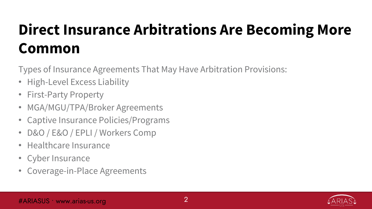## **Direct Insurance Arbitrations Are Becoming More Common**

Types of Insurance Agreements That May Have Arbitration Provisions:

- High-Level Excess Liability
- First-Party Property
- MGA/MGU/TPA/Broker Agreements
- Captive Insurance Policies/Programs
- D&O / E&O / EPLI / Workers Comp
- Healthcare Insurance
- Cyber Insurance
- Coverage-in-Place Agreements

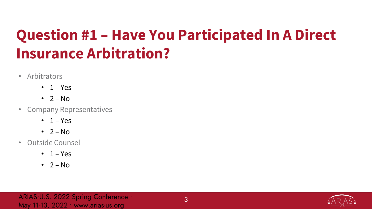### **Question #1 – Have You Participated In A Direct Insurance Arbitration?**

- Arbitrators
	- $\cdot$  1 Yes
	- $\cdot$  2 No
- Company Representatives
	- $\cdot$  1 Yes
	- $\cdot$  2 No
- Outside Counsel
	- $\cdot$  1 Yes
	- $\cdot$  2 No

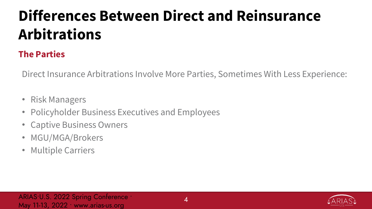### **The Parties**

Direct Insurance Arbitrations Involve More Parties, Sometimes With Less Experience:

- Risk Managers
- Policyholder Business Executives and Employees
- Captive Business Owners
- MGU/MGA/Brokers
- Multiple Carriers

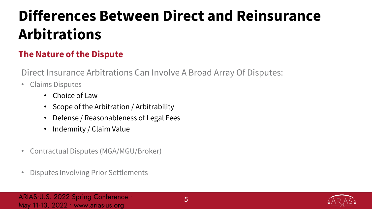### **The Nature of the Dispute**

Direct Insurance Arbitrations Can Involve A Broad Array Of Disputes:

- Claims Disputes
	- Choice of Law
	- Scope of the Arbitration / Arbitrability
	- Defense / Reasonableness of Legal Fees
	- Indemnity / Claim Value
- Contractual Disputes (MGA/MGU/Broker)
- Disputes Involving Prior Settlements

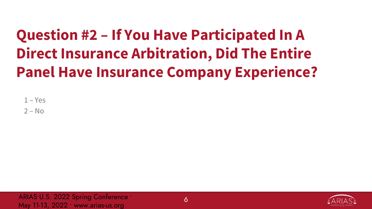## **Question #2 – If You Have Participated In A Direct Insurance Arbitration, Did The Entire Panel Have Insurance Company Experience?**

 $1 - Yes$ 

 $2 - No$ 

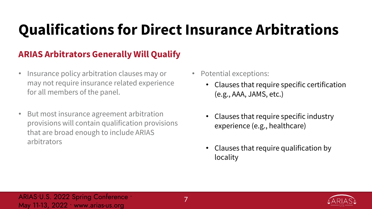## **Qualifications for Direct Insurance Arbitrations**

### **ARIAS Arbitrators Generally Will Qualify**

- Insurance policy arbitration clauses may or may not require insurance related experience for all members of the panel.
- But most insurance agreement arbitration provisions will contain qualification provisions that are broad enough to include ARIAS arbitrators
- Potential exceptions:
	- Clauses that require specific certification (e.g., AAA, JAMS, etc.)
	- Clauses that require specific industry experience (e.g., healthcare)
	- Clauses that require qualification by locality

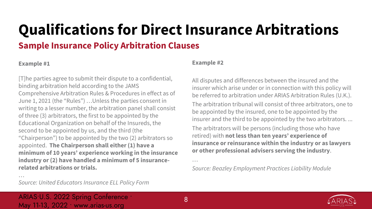## **Qualifications for Direct Insurance Arbitrations**

### **Sample Insurance Policy Arbitration Clauses**

#### **Example #1**

…

[T]he parties agree to submit their dispute to a confidential, binding arbitration held according to the JAMS Comprehensive Arbitration Rules & Procedures in effect as of June 1, 2021 (the "Rules") …Unless the parties consent in writing to a lesser number, the arbitration panel shall consist of three (3) arbitrators, the first to be appointed by the Educational Organization on behalf of the Insureds, the second to be appointed by us, and the third (the "Chairperson") to be appointed by the two (2) arbitrators so appointed. **The Chairperson shall either (1) have a minimum of 10 years' experience working in the insurance industry or (2) have handled a minimum of 5 insurancerelated arbitrations or trials.**

#### **Example #2**

All disputes and differences between the insured and the insurer which arise under or in connection with this policy will be referred to arbitration under ARIAS Arbitration Rules (U.K.).

The arbitration tribunal will consist of three arbitrators, one to be appointed by the insured, one to be appointed by the insurer and the third to be appointed by the two arbitrators. ...

The arbitrators will be persons (including those who have retired) with **not less than ten years' experience of insurance or reinsurance within the industry or as lawyers or other professional advisers serving the industry**.

*Source: Beazley Employment Practices Liability Module*



*Source: United Educators Insurance ELL Policy Form*

ARIAS•U.S. 2022 Spring Conference ∙ May 11-13, 2022 ∙ www.arias-us.org

…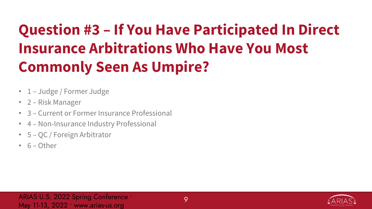## **Question #3 – If You Have Participated In Direct Insurance Arbitrations Who Have You Most Commonly Seen As Umpire?**

- 1 Judge / Former Judge
- 2 Risk Manager
- 3 Current or Former Insurance Professional
- 4 Non-Insurance Industry Professional
- 5 QC / Foreign Arbitrator
- 6 Other

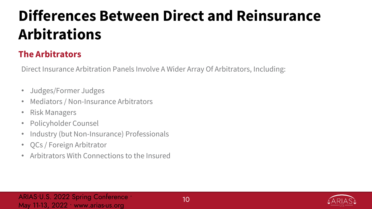### **The Arbitrators**

Direct Insurance Arbitration Panels Involve A Wider Array Of Arbitrators, Including:

- Judges/Former Judges
- Mediators / Non-Insurance Arbitrators
- Risk Managers
- Policyholder Counsel
- Industry (but Non-Insurance) Professionals
- QCs / Foreign Arbitrator
- Arbitrators With Connections to the Insured

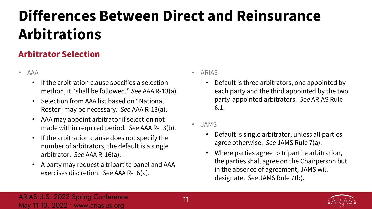### **Arbitrator Selection**

- AAA
	- If the arbitration clause specifies a selection method, it "shall be followed." *See* AAA R-13(a).
	- Selection from AAA list based on "National Roster" may be necessary. *See* AAA R-13(a).
	- AAA may appoint arbitrator if selection not made within required period. *See* AAA R-13(b).
	- If the arbitration clause does not specify the number of arbitrators, the default is a single arbitrator. *See* AAA R-16(a).
	- A party may request a tripartite panel and AAA exercises discretion. *See* AAA R-16(a).
- ARIAS
	- Default is three arbitrators, one appointed by each party and the third appointed by the two party-appointed arbitrators. *See* ARIAS Rule 6.1.
- JAMS
	- Default is single arbitrator, unless all parties agree otherwise. *See* JAMS Rule 7(a).
	- Where parties agree to tripartite arbitration, the parties shall agree on the Chairperson but in the absence of agreement, JAMS will designate. *See* JAMS Rule 7(b).

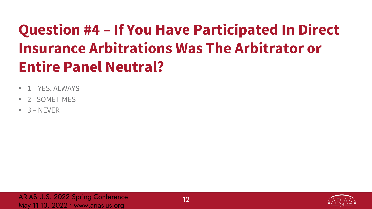## **Question #4 – If You Have Participated In Direct Insurance Arbitrations Was The Arbitrator or Entire Panel Neutral?**

- 1 YES, ALWAYS
- 2 SOMETIMES
- $\cdot$  3 NEVER

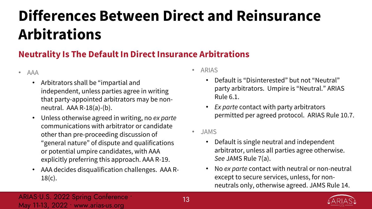### **Neutrality Is The Default In Direct Insurance Arbitrations**

- AAA
	- Arbitrators shall be "impartial and independent, unless parties agree in writing that party-appointed arbitrators may be nonneutral. AAA R-18(a)-(b).
	- Unless otherwise agreed in writing, no *ex parte*  communications with arbitrator or candidate other than pre-proceeding discussion of "general nature" of dispute and qualifications or potential umpire candidates, with AAA explicitly preferring this approach. AAA R-19.
	- AAA decides disqualification challenges. AAA R- $18(c)$ .
- ARIAS
	- Default is "Disinterested" but not "Neutral" party arbitrators. Umpire is "Neutral." ARIAS Rule 6.1.
	- *Ex parte* contact with party arbitrators permitted per agreed protocol. ARIAS Rule 10.7.
- JAMS
	- Default is single neutral and independent arbitrator, unless all parties agree otherwise. *See* JAMS Rule 7(a).
	- No *ex parte* contact with neutral or non-neutral except to secure services, unless, for nonneutrals only, otherwise agreed. JAMS Rule 14.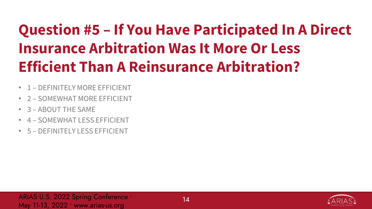## **Question #5 – If You Have Participated In A Direct Insurance Arbitration Was It More Or Less Efficient Than A Reinsurance Arbitration?**

- 1 DEFINITELY MORE EFFICIENT
- 2 SOMEWHAT MORE EFFICIENT
- 3 ABOUT THE SAME
- 4 SOMEWHAT LESS EFFICIENT
- 5 DEFINITELY LESS EFFICIENT

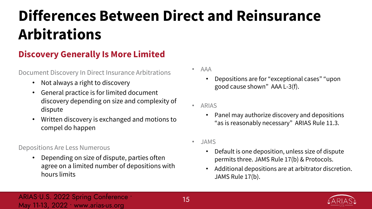### **Discovery Generally Is More Limited**

Document Discovery In Direct Insurance Arbitrations

- Not always a right to discovery
- General practice is for limited document discovery depending on size and complexity of dispute
- Written discovery is exchanged and motions to compel do happen

#### Depositions Are Less Numerous

• Depending on size of dispute, parties often agree on a limited number of depositions with hours limits

- AAA
	- Depositions are for "exceptional cases" "upon good cause shown" AAA L-3(f).
- ARIAS
	- Panel may authorize discovery and depositions "as is reasonably necessary" ARIAS Rule 11.3.
- JAMS
	- Default is one deposition, unless size of dispute permits three. JAMS Rule 17(b) & Protocols.
	- Additional depositions are at arbitrator discretion. JAMS Rule 17(b).

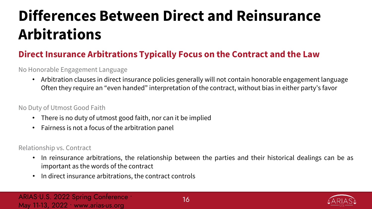### **Direct Insurance Arbitrations Typically Focus on the Contract and the Law**

#### No Honorable Engagement Language

• Arbitration clauses in direct insurance policies generally will not contain honorable engagement language Often they require an "even handed" interpretation of the contract, without bias in either party's favor

#### No Duty of Utmost Good Faith

- There is no duty of utmost good faith, nor can it be implied
- Fairness is not a focus of the arbitration panel

#### Relationship vs. Contract

- In reinsurance arbitrations, the relationship between the parties and their historical dealings can be as important as the words of the contract
- In direct insurance arbitrations, the contract controls

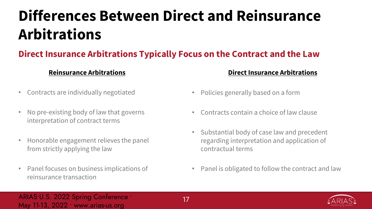### **Direct Insurance Arbitrations Typically Focus on the Contract and the Law**

#### **Reinsurance Arbitrations**

- Contracts are individually negotiated
- No pre-existing body of law that governs interpretation of contract terms
- Honorable engagement relieves the panel from strictly applying the law
- Panel focuses on business implications of reinsurance transaction

#### **Direct Insurance Arbitrations**

- Policies generally based on a form
- Contracts contain a choice of law clause
- Substantial body of case law and precedent regarding interpretation and application of contractual terms
- Panel is obligated to follow the contract and law

#### ARIAS•U.S. 2022 Spring Conference ∙ May 11-13, 2022 ∙ www.arias-us.org

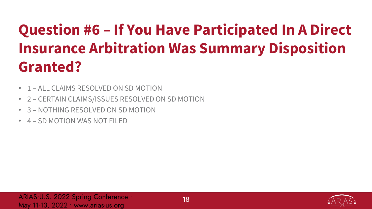## **Question #6 – If You Have Participated In A Direct Insurance Arbitration Was Summary Disposition Granted?**

- 1 ALL CLAIMS RESOLVED ON SD MOTION
- 2 CERTAIN CLAIMS/ISSUES RESOLVED ON SD MOTION
- 3 NOTHING RESOLVED ON SD MOTION
- 4 SD MOTION WAS NOT FILED

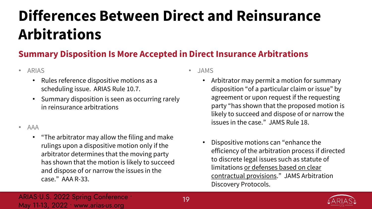### **Summary Disposition Is More Accepted in Direct Insurance Arbitrations**

- ARIAS
	- Rules reference dispositive motions as a scheduling issue. ARIAS Rule 10.7.
	- Summary disposition is seen as occurring rarely in reinsurance arbitrations
- AAA
	- "The arbitrator may allow the filing and make rulings upon a dispositive motion only if the arbitrator determines that the moving party has shown that the motion is likely to succeed and dispose of or narrow the issues in the case." AAA R-33.
- JAMS
	- Arbitrator may permit a motion for summary disposition "of a particular claim or issue" by agreement or upon request if the requesting party "has shown that the proposed motion is likely to succeed and dispose of or narrow the issues in the case." JAMS Rule 18.
	- Dispositive motions can "enhance the efficiency of the arbitration process if directed to discrete legal issues such as statute of limitations or defenses based on clear contractual provisions." JAMS Arbitration Discovery Protocols.

#### ARIAS•U.S. 2022 Spring Conference ∙ May 11-13, 2022 ∙ www.arias-us.org

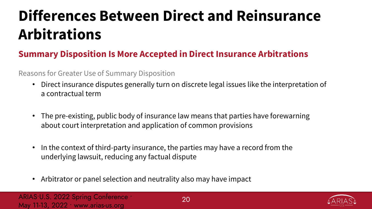### **Summary Disposition Is More Accepted in Direct Insurance Arbitrations**

#### Reasons for Greater Use of Summary Disposition

- Direct insurance disputes generally turn on discrete legal issues like the interpretation of a contractual term
- The pre-existing, public body of insurance law means that parties have forewarning about court interpretation and application of common provisions
- In the context of third-party insurance, the parties may have a record from the underlying lawsuit, reducing any factual dispute
- Arbitrator or panel selection and neutrality also may have impact

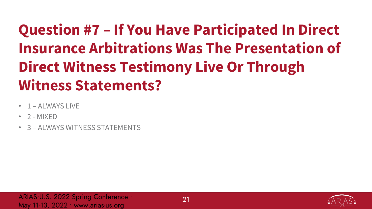## **Question #7 – If You Have Participated In Direct Insurance Arbitrations Was The Presentation of Direct Witness Testimony Live Or Through Witness Statements?**

- 1 ALWAYS LIVE
- $\cdot$  2 MIXED
- 3 ALWAYS WITNESS STATEMENTS

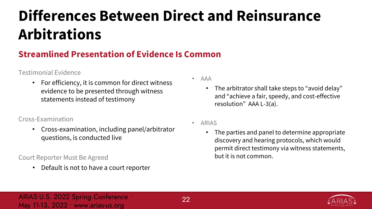### **Streamlined Presentation of Evidence Is Common**

#### Testimonial Evidence

• For efficiency, it is common for direct witness evidence to be presented through witness statements instead of testimony

#### Cross-Examination

• Cross-examination, including panel/arbitrator questions, is conducted live

#### Court Reporter Must Be Agreed

• Default is not to have a court reporter

- AAA
	- The arbitrator shall take steps to "avoid delay" and "achieve a fair, speedy, and cost-effective resolution" AAA L-3(a).
- ARIAS
	- The parties and panel to determine appropriate discovery and hearing protocols, which would permit direct testimony via witness statements, but it is not common.

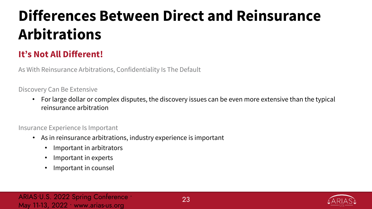### **It's Not All Different!**

As With Reinsurance Arbitrations, Confidentiality Is The Default

Discovery Can Be Extensive

• For large dollar or complex disputes, the discovery issues can be even more extensive than the typical reinsurance arbitration

Insurance Experience Is Important

- As in reinsurance arbitrations, industry experience is important
	- Important in arbitrators
	- Important in experts
	- Important in counsel